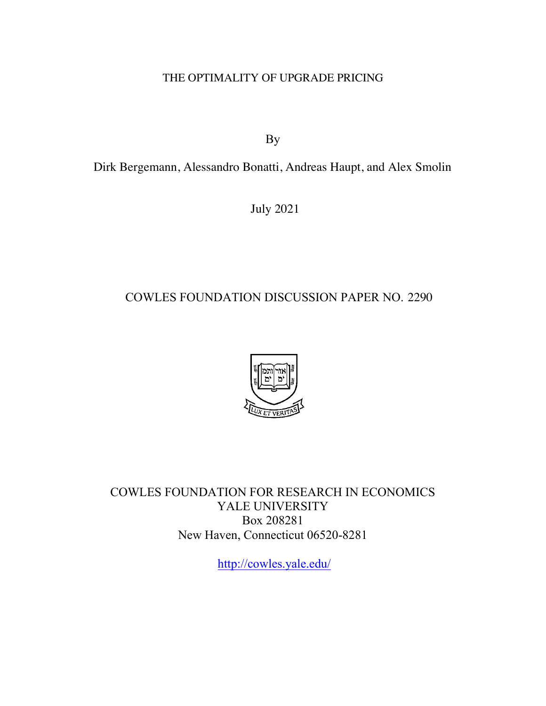### THE OPTIMALITY OF UPGRADE PRICING

By

Dirk Bergemann, Alessandro Bonatti, Andreas Haupt, and Alex Smolin

July 2021

# COWLES FOUNDATION DISCUSSION PAPER NO. 2290



COWLES FOUNDATION FOR RESEARCH IN ECONOMICS YALE UNIVERSITY Box 208281 New Haven, Connecticut 06520-8281

<http://cowles.yale.edu>/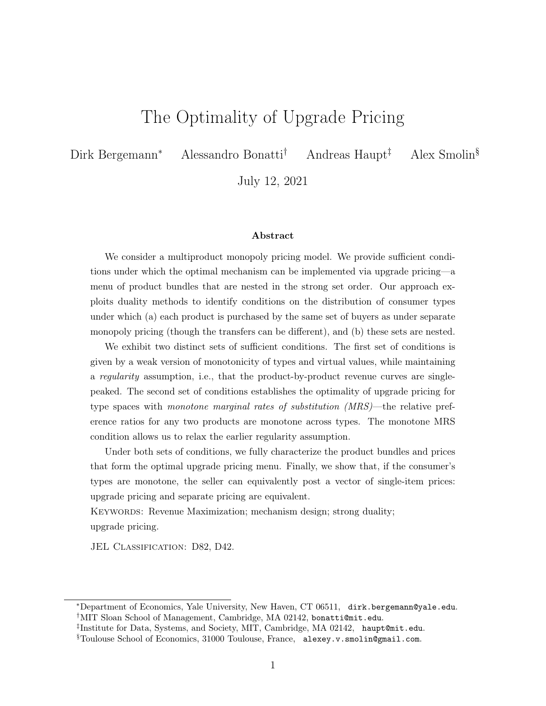# The Optimality of Upgrade Pricing

Dirk Bergemann<sup>∗</sup> Alessandro Bonatti† Andreas Haupt‡ Alex Smolin§

July 12, 2021

#### Abstract

We consider a multiproduct monopoly pricing model. We provide sufficient conditions under which the optimal mechanism can be implemented via upgrade pricing—a menu of product bundles that are nested in the strong set order. Our approach exploits duality methods to identify conditions on the distribution of consumer types under which (a) each product is purchased by the same set of buyers as under separate monopoly pricing (though the transfers can be different), and (b) these sets are nested.

We exhibit two distinct sets of sufficient conditions. The first set of conditions is given by a weak version of monotonicity of types and virtual values, while maintaining a regularity assumption, i.e., that the product-by-product revenue curves are singlepeaked. The second set of conditions establishes the optimality of upgrade pricing for type spaces with monotone marginal rates of substitution (MRS)—the relative preference ratios for any two products are monotone across types. The monotone MRS condition allows us to relax the earlier regularity assumption.

Under both sets of conditions, we fully characterize the product bundles and prices that form the optimal upgrade pricing menu. Finally, we show that, if the consumer's types are monotone, the seller can equivalently post a vector of single-item prices: upgrade pricing and separate pricing are equivalent.

KEYWORDS: Revenue Maximization; mechanism design; strong duality; upgrade pricing.

JEL CLASSIFICATION: D82, D42.

<sup>∗</sup>Department of Economics, Yale University, New Haven, CT 06511, dirk.bergemann@yale.edu. †MIT Sloan School of Management, Cambridge, MA 02142, bonatti@mit.edu.

<sup>‡</sup> Institute for Data, Systems, and Society, MIT, Cambridge, MA 02142, haupt@mit.edu.

<sup>§</sup>Toulouse School of Economics, 31000 Toulouse, France, alexey.v.smolin@gmail.com.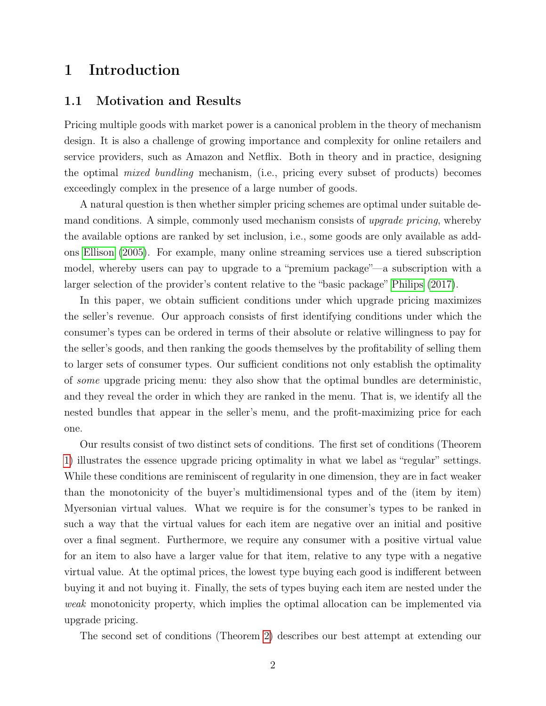# 1 Introduction

### 1.1 Motivation and Results

Pricing multiple goods with market power is a canonical problem in the theory of mechanism design. It is also a challenge of growing importance and complexity for online retailers and service providers, such as Amazon and Netflix. Both in theory and in practice, designing the optimal mixed bundling mechanism, (i.e., pricing every subset of products) becomes exceedingly complex in the presence of a large number of goods.

A natural question is then whether simpler pricing schemes are optimal under suitable demand conditions. A simple, commonly used mechanism consists of *upgrade pricing*, whereby the available options are ranked by set inclusion, i.e., some goods are only available as addons [Ellison](#page-26-0) [\(2005\)](#page-26-0). For example, many online streaming services use a tiered subscription model, whereby users can pay to upgrade to a "premium package"—a subscription with a larger selection of the provider's content relative to the "basic package" [Philips](#page-27-0) [\(2017\)](#page-27-0).

In this paper, we obtain sufficient conditions under which upgrade pricing maximizes the seller's revenue. Our approach consists of first identifying conditions under which the consumer's types can be ordered in terms of their absolute or relative willingness to pay for the seller's goods, and then ranking the goods themselves by the profitability of selling them to larger sets of consumer types. Our sufficient conditions not only establish the optimality of some upgrade pricing menu: they also show that the optimal bundles are deterministic, and they reveal the order in which they are ranked in the menu. That is, we identify all the nested bundles that appear in the seller's menu, and the profit-maximizing price for each one.

Our results consist of two distinct sets of conditions. The first set of conditions (Theorem [1\)](#page-9-0) illustrates the essence upgrade pricing optimality in what we label as "regular" settings. While these conditions are reminiscent of regularity in one dimension, they are in fact weaker than the monotonicity of the buyer's multidimensional types and of the (item by item) Myersonian virtual values. What we require is for the consumer's types to be ranked in such a way that the virtual values for each item are negative over an initial and positive over a final segment. Furthermore, we require any consumer with a positive virtual value for an item to also have a larger value for that item, relative to any type with a negative virtual value. At the optimal prices, the lowest type buying each good is indifferent between buying it and not buying it. Finally, the sets of types buying each item are nested under the weak monotonicity property, which implies the optimal allocation can be implemented via upgrade pricing.

The second set of conditions (Theorem [2\)](#page-12-0) describes our best attempt at extending our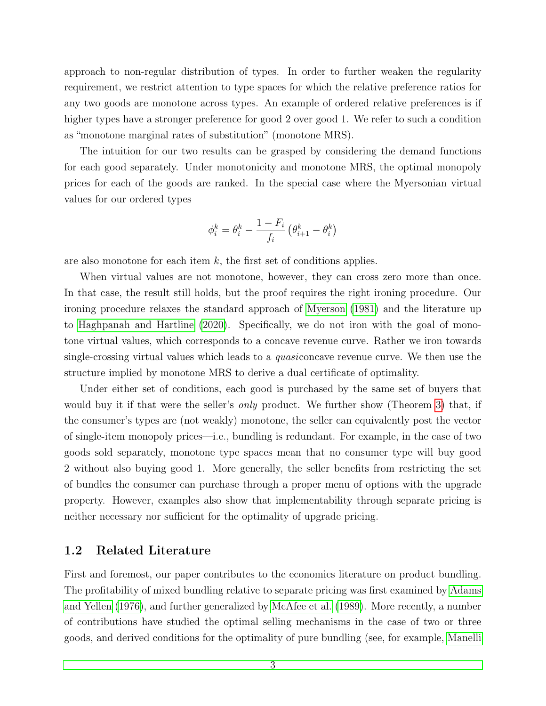approach to non-regular distribution of types. In order to further weaken the regularity requirement, we restrict attention to type spaces for which the relative preference ratios for any two goods are monotone across types. An example of ordered relative preferences is if higher types have a stronger preference for good 2 over good 1. We refer to such a condition as "monotone marginal rates of substitution" (monotone MRS).

The intuition for our two results can be grasped by considering the demand functions for each good separately. Under monotonicity and monotone MRS, the optimal monopoly prices for each of the goods are ranked. In the special case where the Myersonian virtual values for our ordered types

$$
\phi_i^k = \theta_i^k - \frac{1-F_i}{f_i} \left(\theta_{i+1}^k - \theta_i^k\right)
$$

are also monotone for each item  $k$ , the first set of conditions applies.

When virtual values are not monotone, however, they can cross zero more than once. In that case, the result still holds, but the proof requires the right ironing procedure. Our ironing procedure relaxes the standard approach of [Myerson](#page-27-1) [\(1981\)](#page-27-1) and the literature up to [Haghpanah and Hartline](#page-26-1) [\(2020\)](#page-26-1). Specifically, we do not iron with the goal of monotone virtual values, which corresponds to a concave revenue curve. Rather we iron towards single-crossing virtual values which leads to a quasiconcave revenue curve. We then use the structure implied by monotone MRS to derive a dual certificate of optimality.

Under either set of conditions, each good is purchased by the same set of buyers that would buy it if that were the seller's *only* product. We further show (Theorem [3\)](#page-19-0) that, if the consumer's types are (not weakly) monotone, the seller can equivalently post the vector of single-item monopoly prices—i.e., bundling is redundant. For example, in the case of two goods sold separately, monotone type spaces mean that no consumer type will buy good 2 without also buying good 1. More generally, the seller benefits from restricting the set of bundles the consumer can purchase through a proper menu of options with the upgrade property. However, examples also show that implementability through separate pricing is neither necessary nor sufficient for the optimality of upgrade pricing.

### 1.2 Related Literature

First and foremost, our paper contributes to the economics literature on product bundling. The profitability of mixed bundling relative to separate pricing was first examined by [Adams](#page-26-2) [and Yellen](#page-26-2) [\(1976\)](#page-26-2), and further generalized by [McAfee et al.](#page-27-2) [\(1989\)](#page-27-2). More recently, a number of contributions have studied the optimal selling mechanisms in the case of two or three goods, and derived conditions for the optimality of pure bundling (see, for example, [Manelli](#page-27-3)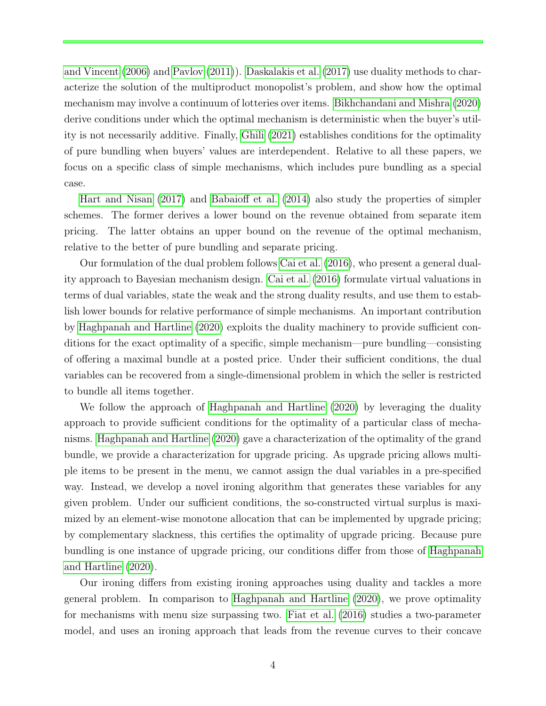[and Vincent](#page-27-3) [\(2006\)](#page-27-3) and [Pavlov](#page-27-4) [\(2011\)](#page-27-4)). [Daskalakis et al.](#page-26-3) [\(2017\)](#page-26-3) use duality methods to characterize the solution of the multiproduct monopolist's problem, and show how the optimal mechanism may involve a continuum of lotteries over items. [Bikhchandani and Mishra](#page-26-4) [\(2020\)](#page-26-4) derive conditions under which the optimal mechanism is deterministic when the buyer's utility is not necessarily additive. Finally, [Ghili](#page-26-5) [\(2021\)](#page-26-5) establishes conditions for the optimality of pure bundling when buyers' values are interdependent. Relative to all these papers, we focus on a specific class of simple mechanisms, which includes pure bundling as a special case.

[Hart and Nisan](#page-26-6) [\(2017\)](#page-26-6) and [Babaioff et al.](#page-26-7) [\(2014\)](#page-26-7) also study the properties of simpler schemes. The former derives a lower bound on the revenue obtained from separate item pricing. The latter obtains an upper bound on the revenue of the optimal mechanism, relative to the better of pure bundling and separate pricing.

Our formulation of the dual problem follows [Cai et al.](#page-26-8) [\(2016\)](#page-26-8), who present a general duality approach to Bayesian mechanism design. [Cai et al.](#page-26-8) [\(2016\)](#page-26-8) formulate virtual valuations in terms of dual variables, state the weak and the strong duality results, and use them to establish lower bounds for relative performance of simple mechanisms. An important contribution by [Haghpanah and Hartline](#page-26-1) [\(2020\)](#page-26-1) exploits the duality machinery to provide sufficient conditions for the exact optimality of a specific, simple mechanism—pure bundling—consisting of offering a maximal bundle at a posted price. Under their sufficient conditions, the dual variables can be recovered from a single-dimensional problem in which the seller is restricted to bundle all items together.

We follow the approach of [Haghpanah and Hartline](#page-26-1) [\(2020\)](#page-26-1) by leveraging the duality approach to provide sufficient conditions for the optimality of a particular class of mechanisms. [Haghpanah and Hartline](#page-26-1) [\(2020\)](#page-26-1) gave a characterization of the optimality of the grand bundle, we provide a characterization for upgrade pricing. As upgrade pricing allows multiple items to be present in the menu, we cannot assign the dual variables in a pre-specified way. Instead, we develop a novel ironing algorithm that generates these variables for any given problem. Under our sufficient conditions, the so-constructed virtual surplus is maximized by an element-wise monotone allocation that can be implemented by upgrade pricing; by complementary slackness, this certifies the optimality of upgrade pricing. Because pure bundling is one instance of upgrade pricing, our conditions differ from those of [Haghpanah](#page-26-1) [and Hartline](#page-26-1) [\(2020\)](#page-26-1).

Our ironing differs from existing ironing approaches using duality and tackles a more general problem. In comparison to [Haghpanah and Hartline](#page-26-1) [\(2020\)](#page-26-1), we prove optimality for mechanisms with menu size surpassing two. [Fiat et al.](#page-26-9) [\(2016\)](#page-26-9) studies a two-parameter model, and uses an ironing approach that leads from the revenue curves to their concave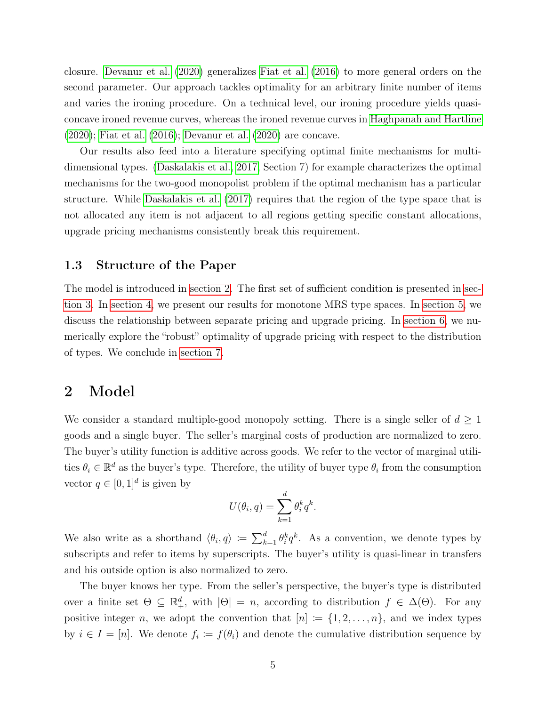closure. [Devanur et al.](#page-26-10) [\(2020\)](#page-26-10) generalizes [Fiat et al.](#page-26-9) [\(2016\)](#page-26-9) to more general orders on the second parameter. Our approach tackles optimality for an arbitrary finite number of items and varies the ironing procedure. On a technical level, our ironing procedure yields quasiconcave ironed revenue curves, whereas the ironed revenue curves in [Haghpanah and Hartline](#page-26-1) [\(2020\)](#page-26-1); [Fiat et al.](#page-26-9) [\(2016\)](#page-26-9); [Devanur et al.](#page-26-10) [\(2020\)](#page-26-10) are concave.

Our results also feed into a literature specifying optimal finite mechanisms for multidimensional types. [\(Daskalakis et al., 2017,](#page-26-3) Section 7) for example characterizes the optimal mechanisms for the two-good monopolist problem if the optimal mechanism has a particular structure. While [Daskalakis et al.](#page-26-3) [\(2017\)](#page-26-3) requires that the region of the type space that is not allocated any item is not adjacent to all regions getting specific constant allocations, upgrade pricing mechanisms consistently break this requirement.

### 1.3 Structure of the Paper

The model is introduced in [section 2.](#page-5-0) The first set of sufficient condition is presented in [sec](#page-7-0)[tion 3.](#page-7-0) In [section 4,](#page-10-0) we present our results for monotone MRS type spaces. In [section 5,](#page-19-1) we discuss the relationship between separate pricing and upgrade pricing. In [section 6,](#page-23-0) we numerically explore the "robust" optimality of upgrade pricing with respect to the distribution of types. We conclude in [section 7.](#page-24-0)

### <span id="page-5-0"></span>2 Model

We consider a standard multiple-good monopoly setting. There is a single seller of  $d \geq 1$ goods and a single buyer. The seller's marginal costs of production are normalized to zero. The buyer's utility function is additive across goods. We refer to the vector of marginal utilities  $\theta_i \in \mathbb{R}^d$  as the buyer's type. Therefore, the utility of buyer type  $\theta_i$  from the consumption vector  $q \in [0,1]^d$  is given by

$$
U(\theta_i, q) = \sum_{k=1}^d \theta_i^k q^k.
$$

We also write as a shorthand  $\langle \theta_i, q \rangle := \sum_{k=1}^d \theta_i^k q^k$ . As a convention, we denote types by subscripts and refer to items by superscripts. The buyer's utility is quasi-linear in transfers and his outside option is also normalized to zero.

The buyer knows her type. From the seller's perspective, the buyer's type is distributed over a finite set  $\Theta \subseteq \mathbb{R}^d_+$ , with  $|\Theta| = n$ , according to distribution  $f \in \Delta(\Theta)$ . For any positive integer n, we adopt the convention that  $[n] := \{1, 2, \ldots, n\}$ , and we index types by  $i \in I = [n]$ . We denote  $f_i := f(\theta_i)$  and denote the cumulative distribution sequence by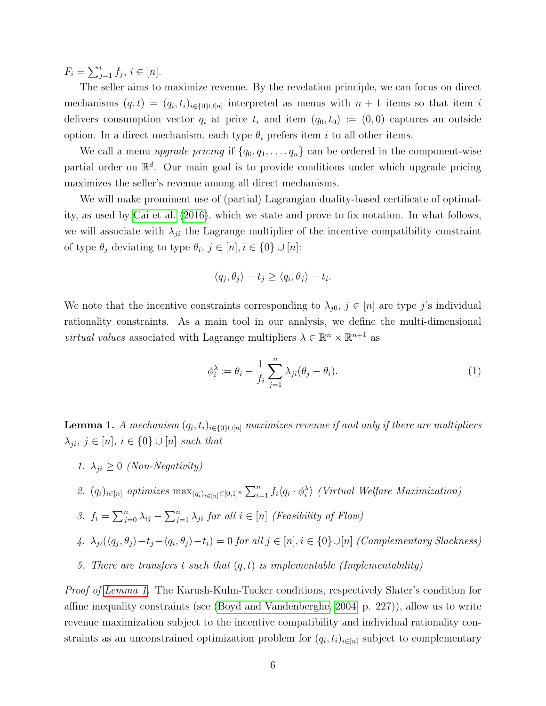$F_i = \sum_{j=1}^i f_j, i \in [n].$ 

The seller aims to maximize revenue. By the revelation principle, we can focus on direct mechanisms  $(q,t) = (q_i, t_i)_{i \in \{0\} \cup [n]}$  interpreted as menus with  $n+1$  items so that item i delivers consumption vector  $q_i$  at price  $t_i$  and item  $(q_0, t_0) := (0, 0)$  captures an outside option. In a direct mechanism, each type  $\theta_i$  prefers item i to all other items.

We call a menu upgrade pricing if  $\{q_0, q_1, \ldots, q_n\}$  can be ordered in the component-wise partial order on  $\mathbb{R}^d$ . Our main goal is to provide conditions under which upgrade pricing maximizes the seller's revenue among all direct mechanisms.

We will make prominent use of (partial) Lagrangian duality-based certificate of optimality, as used by [Cai et al.](#page-26-8) [\(2016\)](#page-26-8), which we state and prove to fix notation. In what follows, we will associate with  $\lambda_{ji}$  the Lagrange multiplier of the incentive compatibility constraint of type  $\theta_j$  deviating to type  $\theta_i, j \in [n], i \in \{0\} \cup [n]$ :

$$
\langle q_j, \theta_j \rangle - t_j \ge \langle q_i, \theta_j \rangle - t_i.
$$

We note that the incentive constraints corresponding to  $\lambda_{j0}$ ,  $j \in [n]$  are type j's individual rationality constraints. As a main tool in our analysis, we define the multi-dimensional *virtual values* associated with Lagrange multipliers  $\lambda \in \mathbb{R}^n \times \mathbb{R}^{n+1}$  as

<span id="page-6-2"></span>
$$
\phi_i^{\lambda} := \theta_i - \frac{1}{f_i} \sum_{j=1}^n \lambda_{ji} (\theta_j - \theta_i).
$$
 (1)

<span id="page-6-0"></span>**Lemma 1.** A mechanism  $(q_i, t_i)_{i \in \{0\} \cup [n]}$  maximizes revenue if and only if there are multipliers  $\lambda_{ji}, j \in [n], i \in \{0\} \cup [n]$  such that

- 1.  $\lambda_{ji} \geq 0$  (Non-Negativity)
- <span id="page-6-3"></span>2.  $(q_i)_{i \in [n]}$  optimizes  $\max_{(q_i)_{i \in [n]} \in [0,1]^n} \sum_{i=1}^n f_i \langle q_i \cdot \phi_i^{\lambda} \rangle$  (Virtual Welfare Maximization)
- <span id="page-6-1"></span>3.  $f_i = \sum_{j=0}^n \lambda_{ij} - \sum_{j=1}^n \lambda_{ji}$  for all  $i \in [n]$  (Feasibility of Flow)

<span id="page-6-5"></span>4. 
$$
\lambda_{ji}(\langle q_j, \theta_j \rangle - t_j - \langle q_i, \theta_j \rangle - t_i) = 0
$$
 for all  $j \in [n], i \in \{0\} \cup [n]$  (Complementary Slackness)

<span id="page-6-4"></span>5. There are transfers t such that  $(q, t)$  is implementable (Implementability)

*Proof of [Lemma 1.](#page-6-0)* The Karush-Kuhn-Tucker conditions, respectively Slater's condition for affine inequality constraints (see [\(Boyd and Vandenberghe, 2004,](#page-26-11) p. 227)), allow us to write revenue maximization subject to the incentive compatibility and individual rationality constraints as an unconstrained optimization problem for  $(q_i, t_i)_{i \in [n]}$  subject to complementary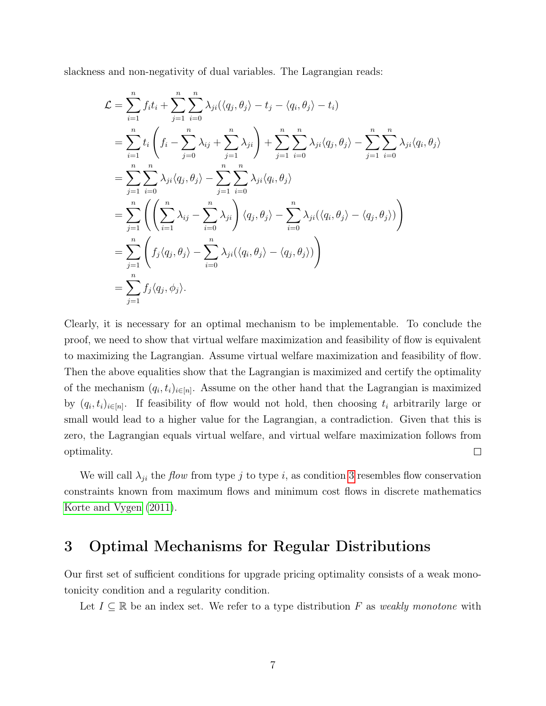slackness and non-negativity of dual variables. The Lagrangian reads:

$$
\mathcal{L} = \sum_{i=1}^{n} f_i t_i + \sum_{j=1}^{n} \sum_{i=0}^{n} \lambda_{ji} (\langle q_j, \theta_j \rangle - t_j - \langle q_i, \theta_j \rangle - t_i)
$$
  
\n
$$
= \sum_{i=1}^{n} t_i \left( f_i - \sum_{j=0}^{n} \lambda_{ij} + \sum_{j=1}^{n} \lambda_{ji} \right) + \sum_{j=1}^{n} \sum_{i=0}^{n} \lambda_{ji} \langle q_j, \theta_j \rangle - \sum_{j=1}^{n} \sum_{i=0}^{n} \lambda_{ji} \langle q_i, \theta_j \rangle
$$
  
\n
$$
= \sum_{j=1}^{n} \sum_{i=0}^{n} \lambda_{ji} \langle q_j, \theta_j \rangle - \sum_{j=1}^{n} \sum_{i=0}^{n} \lambda_{ji} \langle q_i, \theta_j \rangle
$$
  
\n
$$
= \sum_{j=1}^{n} \left( \left( \sum_{i=1}^{n} \lambda_{ij} - \sum_{i=0}^{n} \lambda_{ji} \right) \langle q_j, \theta_j \rangle - \sum_{i=0}^{n} \lambda_{ji} (\langle q_i, \theta_j \rangle - \langle q_j, \theta_j \rangle) \right)
$$
  
\n
$$
= \sum_{j=1}^{n} \left( f_j \langle q_j, \theta_j \rangle - \sum_{i=0}^{n} \lambda_{ji} (\langle q_i, \theta_j \rangle - \langle q_j, \theta_j \rangle) \right)
$$
  
\n
$$
= \sum_{j=1}^{n} f_j \langle q_j, \phi_j \rangle.
$$

Clearly, it is necessary for an optimal mechanism to be implementable. To conclude the proof, we need to show that virtual welfare maximization and feasibility of flow is equivalent to maximizing the Lagrangian. Assume virtual welfare maximization and feasibility of flow. Then the above equalities show that the Lagrangian is maximized and certify the optimality of the mechanism  $(q_i, t_i)_{i \in [n]}$ . Assume on the other hand that the Lagrangian is maximized by  $(q_i, t_i)_{i \in [n]}$ . If feasibility of flow would not hold, then choosing  $t_i$  arbitrarily large or small would lead to a higher value for the Lagrangian, a contradiction. Given that this is zero, the Lagrangian equals virtual welfare, and virtual welfare maximization follows from optimality.  $\Box$ 

We will call  $\lambda_{ji}$  the *flow* from type j to type i, as condition [3](#page-6-1) resembles flow conservation constraints known from maximum flows and minimum cost flows in discrete mathematics [Korte and Vygen](#page-26-12) [\(2011\)](#page-26-12).

### <span id="page-7-0"></span>3 Optimal Mechanisms for Regular Distributions

Our first set of sufficient conditions for upgrade pricing optimality consists of a weak monotonicity condition and a regularity condition.

Let  $I \subseteq \mathbb{R}$  be an index set. We refer to a type distribution F as weakly monotone with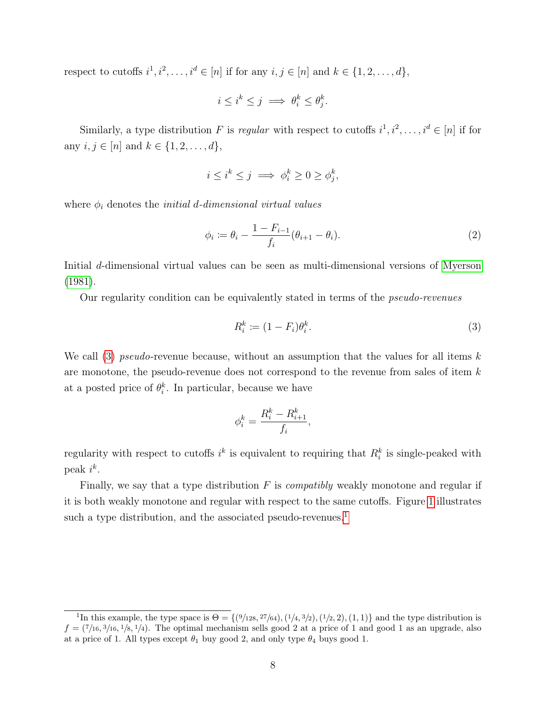respect to cutoffs  $i^1, i^2, \ldots, i^d \in [n]$  if for any  $i, j \in [n]$  and  $k \in \{1, 2, \ldots, d\}$ ,

$$
i \le i^k \le j \implies \theta_i^k \le \theta_j^k.
$$

Similarly, a type distribution F is regular with respect to cutoffs  $i^1, i^2, \ldots, i^d \in [n]$  if for any  $i, j \in [n]$  and  $k \in \{1, 2, ..., d\}$ ,

$$
i \leq i^k \leq j \implies \phi_i^k \geq 0 \geq \phi_j^k,
$$

where  $\phi_i$  denotes the *initial d-dimensional virtual values* 

$$
\phi_i := \theta_i - \frac{1 - F_{i-1}}{f_i} (\theta_{i+1} - \theta_i).
$$
\n(2)

Initial d-dimensional virtual values can be seen as multi-dimensional versions of [Myerson](#page-27-1) [\(1981\)](#page-27-1).

Our regularity condition can be equivalently stated in terms of the pseudo-revenues

<span id="page-8-0"></span>
$$
R_i^k := (1 - F_i)\theta_i^k. \tag{3}
$$

We call [\(3\)](#page-8-0) pseudo-revenue because, without an assumption that the values for all items  $k$ are monotone, the pseudo-revenue does not correspond to the revenue from sales of item k at a posted price of  $\theta_i^k$ . In particular, because we have

$$
\phi_i^k = \frac{R_i^k - R_{i+1}^k}{f_i},
$$

regularity with respect to cutoffs  $i^k$  is equivalent to requiring that  $R_i^k$  is single-peaked with peak  $i^k$ .

Finally, we say that a type distribution  $F$  is *compatibly* weakly monotone and regular if it is both weakly monotone and regular with respect to the same cutoffs. Figure [1](#page-9-1) illustrates such a type distribution, and the associated pseudo-revenues.<sup>[1](#page-8-1)</sup>

<span id="page-8-1"></span><sup>&</sup>lt;sup>1</sup>In this example, the type space is  $\Theta = \{ (9/128, 27/64), (1/4, 3/2), (1/2, 2), (1, 1) \}$  and the type distribution is  $f = (7/16, 3/16, 1/8, 1/4)$ . The optimal mechanism sells good 2 at a price of 1 and good 1 as an upgrade, also at a price of 1. All types except  $\theta_1$  buy good 2, and only type  $\theta_4$  buys good 1.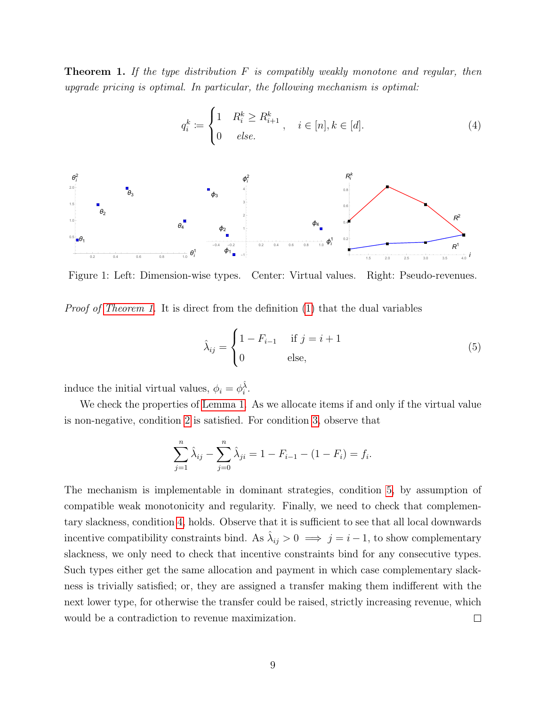<span id="page-9-0"></span>**Theorem 1.** If the type distribution  $F$  is compatibly weakly monotone and regular, then upgrade pricing is optimal. In particular, the following mechanism is optimal:

$$
q_i^k := \begin{cases} 1 & R_i^k \ge R_{i+1}^k \\ 0 & else. \end{cases}, \quad i \in [n], k \in [d]. \tag{4}
$$

<span id="page-9-1"></span>

Figure 1: Left: Dimension-wise types. Center: Virtual values. Right: Pseudo-revenues.

Proof of [Theorem 1.](#page-9-0) It is direct from the definition [\(1\)](#page-6-2) that the dual variables

<span id="page-9-2"></span>
$$
\hat{\lambda}_{ij} = \begin{cases}\n1 - F_{i-1} & \text{if } j = i+1 \\
0 & \text{else,} \n\end{cases}
$$
\n(5)

induce the initial virtual values,  $\phi_i = \phi_i^{\hat{\lambda}}$ .

We check the properties of [Lemma 1.](#page-6-0) As we allocate items if and only if the virtual value is non-negative, condition [2](#page-6-3) is satisfied. For condition [3,](#page-6-1) observe that

$$
\sum_{j=1}^{n} \hat{\lambda}_{ij} - \sum_{j=0}^{n} \hat{\lambda}_{ji} = 1 - F_{i-1} - (1 - F_i) = f_i.
$$

The mechanism is implementable in dominant strategies, condition [5,](#page-6-4) by assumption of compatible weak monotonicity and regularity. Finally, we need to check that complementary slackness, condition [4,](#page-6-5) holds. Observe that it is sufficient to see that all local downwards incentive compatibility constraints bind. As  $\hat{\lambda}_{ij} > 0 \implies j = i - 1$ , to show complementary slackness, we only need to check that incentive constraints bind for any consecutive types. Such types either get the same allocation and payment in which case complementary slackness is trivially satisfied; or, they are assigned a transfer making them indifferent with the next lower type, for otherwise the transfer could be raised, strictly increasing revenue, which would be a contradiction to revenue maximization.  $\Box$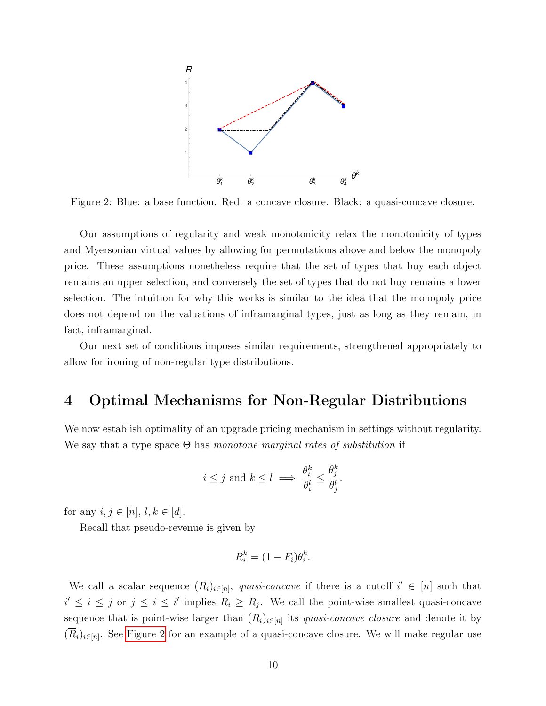<span id="page-10-1"></span>

Figure 2: Blue: a base function. Red: a concave closure. Black: a quasi-concave closure.

Our assumptions of regularity and weak monotonicity relax the monotonicity of types and Myersonian virtual values by allowing for permutations above and below the monopoly price. These assumptions nonetheless require that the set of types that buy each object remains an upper selection, and conversely the set of types that do not buy remains a lower selection. The intuition for why this works is similar to the idea that the monopoly price does not depend on the valuations of inframarginal types, just as long as they remain, in fact, inframarginal.

Our next set of conditions imposes similar requirements, strengthened appropriately to allow for ironing of non-regular type distributions.

# <span id="page-10-0"></span>4 Optimal Mechanisms for Non-Regular Distributions

We now establish optimality of an upgrade pricing mechanism in settings without regularity. We say that a type space  $\Theta$  has monotone marginal rates of substitution if

$$
i \leq j
$$
 and  $k \leq l \implies \frac{\theta_i^k}{\theta_i^l} \leq \frac{\theta_j^k}{\theta_j^l}.$ 

for any  $i, j \in [n], l, k \in [d]$ .

Recall that pseudo-revenue is given by

$$
R_i^k = (1 - F_i)\theta_i^k.
$$

We call a scalar sequence  $(R_i)_{i\in[n]}$ , quasi-concave if there is a cutoff  $i' \in [n]$  such that  $i' \leq i \leq j$  or  $j \leq i \leq i'$  implies  $R_i \geq R_j$ . We call the point-wise smallest quasi-concave sequence that is point-wise larger than  $(R_i)_{i \in [n]}$  its *quasi-concave closure* and denote it by  $(R_i)_{i\in[n]}$ . See [Figure 2](#page-10-1) for an example of a quasi-concave closure. We will make regular use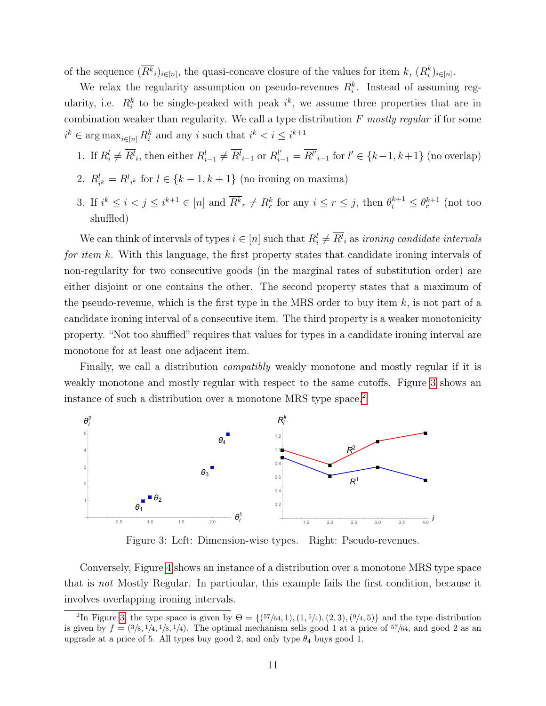of the sequence  $(\overline{R^k}_i)_{i \in [n]}$ , the quasi-concave closure of the values for item  $k$ ,  $(R_i^k)_{i \in [n]}$ .

We relax the regularity assumption on pseudo-revenues  $R_i^k$ . Instead of assuming regularity, i.e.  $R_i^k$  to be single-peaked with peak  $i^k$ , we assume three properties that are in combination weaker than regularity. We call a type distribution  $F$  mostly regular if for some  $i^k \in \arg \max_{i \in [n]} R_i^k$  and any i such that  $i^k < i \leq i^{k+1}$ 

- 1. If  $R_i^l \neq \overline{R_i^l}$ , then either  $R_{i-1}^l \neq \overline{R_i^l}$  or  $R_{i-1}^{l'} = \overline{R_i^l}$  for  $l' \in \{k-1, k+1\}$  (no overlap)
- 2.  $R_{ik}^l = \overline{R}_{ik}^l$  for  $l \in \{k-1, k+1\}$  (no ironing on maxima)
- 3. If  $i^k \leq i < j \leq i^{k+1} \in [n]$  and  $\overline{R^k}_r \neq R^k_r$  for any  $i \leq r \leq j$ , then  $\theta_i^{k+1} \leq \theta_r^{k+1}$  (not too shuffled)

We can think of intervals of types  $i \in [n]$  such that  $R_i^l \neq \overline{R_i^l}$  as *ironing candidate intervals* for item k. With this language, the first property states that candidate ironing intervals of non-regularity for two consecutive goods (in the marginal rates of substitution order) are either disjoint or one contains the other. The second property states that a maximum of the pseudo-revenue, which is the first type in the MRS order to buy item  $k$ , is not part of a candidate ironing interval of a consecutive item. The third property is a weaker monotonicity property. "Not too shuffled" requires that values for types in a candidate ironing interval are monotone for at least one adjacent item.

Finally, we call a distribution *compatibly* weakly monotone and mostly regular if it is weakly monotone and mostly regular with respect to the same cutoffs. Figure [3](#page-11-0) shows an instance of such a distribution over a monotone MRS type space.<sup>[2](#page-11-1)</sup>

<span id="page-11-0"></span>

Figure 3: Left: Dimension-wise types. Right: Pseudo-revenues.

Conversely, Figure [4](#page-12-1) shows an instance of a distribution over a monotone MRS type space that is not Mostly Regular. In particular, this example fails the first condition, because it involves overlapping ironing intervals.

<span id="page-11-1"></span><sup>&</sup>lt;sup>2</sup>In Figure [3,](#page-11-0) the type space is given by  $\Theta = \{(57/64, 1), (1, 5/4), (2, 3), (9/4, 5)\}$  and the type distribution is given by  $f = (3/8, 1/4, 1/8, 1/4)$ . The optimal mechanism sells good 1 at a price of  $57/64$ , and good 2 as an upgrade at a price of 5. All types buy good 2, and only type  $\theta_4$  buys good 1.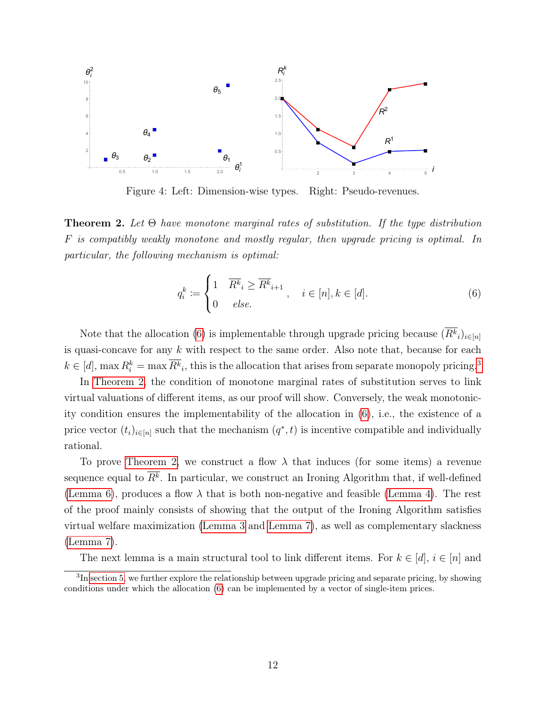<span id="page-12-1"></span>

Figure 4: Left: Dimension-wise types. Right: Pseudo-revenues.

<span id="page-12-0"></span>**Theorem 2.** Let  $\Theta$  have monotone marginal rates of substitution. If the type distribution F is compatibly weakly monotone and mostly regular, then upgrade pricing is optimal. In particular, the following mechanism is optimal:

<span id="page-12-2"></span>
$$
q_i^k \coloneqq \begin{cases} 1 & \overline{R^k}_i \ge \overline{R^k}_{i+1} \\ 0 & else. \end{cases}, \quad i \in [n], k \in [d]. \tag{6}
$$

Note that the allocation [\(6\)](#page-12-2) is implementable through upgrade pricing because  $(R^k_i)_{i \in [n]}$ is quasi-concave for any  $k$  with respect to the same order. Also note that, because for each  $k \in [d]$ , max  $R_i^k = \max \overline{R_i^k}$ , this is the allocation that arises from separate monopoly pricing.<sup>[3](#page-12-3)</sup>

In [Theorem 2,](#page-12-0) the condition of monotone marginal rates of substitution serves to link virtual valuations of different items, as our proof will show. Conversely, the weak monotonicity condition ensures the implementability of the allocation in [\(6\)](#page-12-2), i.e., the existence of a price vector  $(t_i)_{i\in[n]}$  such that the mechanism  $(q^*, t)$  is incentive compatible and individually rational.

To prove [Theorem 2,](#page-12-0) we construct a flow  $\lambda$  that induces (for some items) a revenue sequence equal to  $R^k$ . In particular, we construct an Ironing Algorithm that, if well-defined [\(Lemma 6\)](#page-16-0), produces a flow  $\lambda$  that is both non-negative and feasible [\(Lemma 4\)](#page-15-0). The rest of the proof mainly consists of showing that the output of the Ironing Algorithm satisfies virtual welfare maximization [\(Lemma 3](#page-13-0) and [Lemma 7\)](#page-17-0), as well as complementary slackness [\(Lemma 7\)](#page-17-0).

The next lemma is a main structural tool to link different items. For  $k \in [d], i \in [n]$  and

<span id="page-12-3"></span> ${}^{3}$ In [section 5,](#page-19-1) we further explore the relationship between upgrade pricing and separate pricing, by showing conditions under which the allocation [\(6\)](#page-12-2) can be implemented by a vector of single-item prices.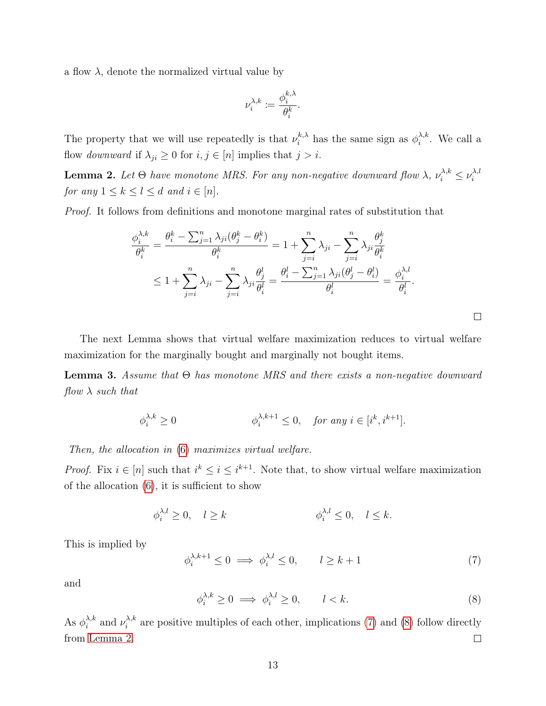a flow  $\lambda$ , denote the normalized virtual value by

$$
\nu^{\lambda,k}_i\coloneqq\frac{\phi_i^{k,\lambda}}{\theta_i^k}.
$$

The property that we will use repeatedly is that  $\nu_i^{k,\lambda}$  has the same sign as  $\phi_i^{\lambda,k}$  $\lambda, \kappa$ . We call a flow downward if  $\lambda_{ji} \geq 0$  for  $i, j \in [n]$  implies that  $j > i$ .

<span id="page-13-3"></span>**Lemma 2.** Let  $\Theta$  have monotone MRS. For any non-negative downward flow  $\lambda$ ,  $\nu_i^{\lambda,k} \leq \nu_i^{\lambda,k}$ i for any  $1 \leq k \leq l \leq d$  and  $i \in [n]$ .

Proof. It follows from definitions and monotone marginal rates of substitution that

$$
\frac{\phi_i^{\lambda,k}}{\theta_i^k} = \frac{\theta_i^k - \sum_{j=1}^n \lambda_{ji} (\theta_j^k - \theta_i^k)}{\theta_i^k} = 1 + \sum_{j=i}^n \lambda_{ji} - \sum_{j=i}^n \lambda_{ji} \frac{\theta_j^k}{\theta_i^k}
$$
  

$$
\leq 1 + \sum_{j=i}^n \lambda_{ji} - \sum_{j=i}^n \lambda_{ji} \frac{\theta_j^l}{\theta_i^l} = \frac{\theta_i^l - \sum_{j=1}^n \lambda_{ji} (\theta_j^l - \theta_i^l)}{\theta_i^l} = \frac{\phi_i^{\lambda,l}}{\theta_i^l}.
$$

The next Lemma shows that virtual welfare maximization reduces to virtual welfare maximization for the marginally bought and marginally not bought items.

<span id="page-13-0"></span>**Lemma 3.** Assume that  $\Theta$  has monotone MRS and there exists a non-negative downward  $flow \lambda$  such that

$$
\phi_i^{\lambda,k} \ge 0 \qquad \qquad \phi_i^{\lambda,k+1} \le 0, \quad \text{for any } i \in [i^k, i^{k+1}].
$$

Then, the allocation in [\(6\)](#page-12-2) maximizes virtual welfare.

*Proof.* Fix  $i \in [n]$  such that  $i^k \leq i \leq i^{k+1}$ . Note that, to show virtual welfare maximization of the allocation [\(6\)](#page-12-2), it is sufficient to show

<span id="page-13-1"></span>
$$
\phi_i^{\lambda,l} \ge 0, \quad l \ge k \qquad \qquad \phi_i^{\lambda,l} \le 0, \quad l \le k.
$$

This is implied by

$$
\phi_i^{\lambda, k+1} \le 0 \implies \phi_i^{\lambda, l} \le 0, \qquad l \ge k+1 \tag{7}
$$

 $\Box$ 

<span id="page-13-2"></span>and

$$
\phi_i^{\lambda,k} \ge 0 \implies \phi_i^{\lambda,l} \ge 0, \qquad l < k. \tag{8}
$$

As  $\phi_i^{\lambda,k}$  $\lambda_i^{\lambda,k}$  and  $\nu_i^{\lambda,k}$  $i_i^{\lambda, k}$  are positive multiples of each other, implications [\(7\)](#page-13-1) and [\(8\)](#page-13-2) follow directly from [Lemma 2.](#page-13-3)  $\Box$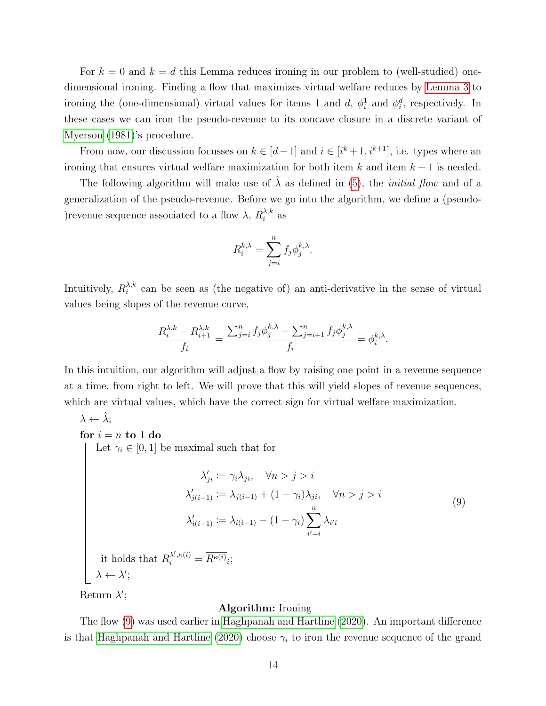For  $k = 0$  and  $k = d$  this Lemma reduces ironing in our problem to (well-studied) onedimensional ironing. Finding a flow that maximizes virtual welfare reduces by [Lemma 3](#page-13-0) to ironing the (one-dimensional) virtual values for items 1 and d,  $\phi_i^1$  and  $\phi_i^d$ , respectively. In these cases we can iron the pseudo-revenue to its concave closure in a discrete variant of [Myerson](#page-27-1) [\(1981\)](#page-27-1)'s procedure.

From now, our discussion focusses on  $k \in [d-1]$  and  $i \in [i^k+1, i^{k+1}]$ , i.e. types where an ironing that ensures virtual welfare maximization for both item  $k$  and item  $k + 1$  is needed.

The following algorithm will make use of  $\hat{\lambda}$  as defined in [\(5\)](#page-9-2), the *initial flow* and of a generalization of the pseudo-revenue. Before we go into the algorithm, we define a (pseudo- ) revenue sequence associated to a flow  $\lambda$ ,  $R_i^{\lambda,k}$  $\sum_{i}^{\lambda,\kappa}$  as

$$
R_i^{k,\lambda} = \sum_{j=i}^n f_j \phi_j^{k,\lambda}.
$$

Intuitively,  $R_i^{\lambda,k}$  $\lambda_i^{\lambda,k}$  can be seen as (the negative of) an anti-derivative in the sense of virtual values being slopes of the revenue curve,

<span id="page-14-0"></span>
$$
\frac{R_i^{\lambda,k} - R_{i+1}^{\lambda,k}}{f_i} = \frac{\sum_{j=i}^n f_j \phi_j^{k,\lambda} - \sum_{j=i+1}^n f_j \phi_j^{k,\lambda}}{f_i} = \phi_i^{k,\lambda}.
$$

In this intuition, our algorithm will adjust a flow by raising one point in a revenue sequence at a time, from right to left. We will prove that this will yield slopes of revenue sequences, which are virtual values, which have the correct sign for virtual welfare maximization.

 $\lambda \leftarrow \tilde{\lambda};$ 

for  $i = n$  to 1 do

Let  $\gamma_i \in [0, 1]$  be maximal such that for

$$
\lambda'_{ji} := \gamma_i \lambda_{ji}, \quad \forall n > j > i
$$

$$
\lambda'_{j(i-1)} := \lambda_{j(i-1)} + (1 - \gamma_i)\lambda_{ji}, \quad \forall n > j > i
$$

$$
\lambda'_{i(i-1)} := \lambda_{i(i-1)} - (1 - \gamma_i) \sum_{i'=i}^{n} \lambda_{i'i}
$$

$$
\text{t holds that } R^{\lambda', \kappa(i)} = \overline{R^{\kappa(i)}}.
$$

$$
(9)
$$

it holds that  $R_i^{\lambda',\kappa(i)} = \overline{R^{\kappa(i)}}_i;$  $\lambda \leftarrow \lambda';$ 

Return  $\lambda'$ ;

#### Algorithm: Ironing

The flow [\(9\)](#page-14-0) was used earlier in [Haghpanah and Hartline](#page-26-1) [\(2020\)](#page-26-1). An important difference is that [Haghpanah and Hartline](#page-26-1) [\(2020\)](#page-26-1) choose  $\gamma_i$  to iron the revenue sequence of the grand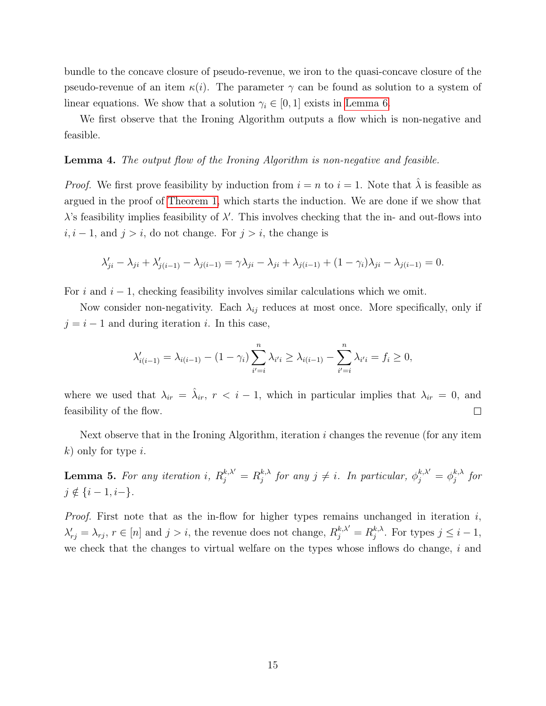bundle to the concave closure of pseudo-revenue, we iron to the quasi-concave closure of the pseudo-revenue of an item  $\kappa(i)$ . The parameter  $\gamma$  can be found as solution to a system of linear equations. We show that a solution  $\gamma_i \in [0, 1]$  exists in [Lemma 6.](#page-16-0)

We first observe that the Ironing Algorithm outputs a flow which is non-negative and feasible.

#### <span id="page-15-0"></span>Lemma 4. The output flow of the Ironing Algorithm is non-negative and feasible.

*Proof.* We first prove feasibility by induction from  $i = n$  to  $i = 1$ . Note that  $\lambda$  is feasible as argued in the proof of [Theorem 1,](#page-9-0) which starts the induction. We are done if we show that  $\lambda$ 's feasibility implies feasibility of  $\lambda'$ . This involves checking that the in- and out-flows into  $i, i - 1$ , and  $j > i$ , do not change. For  $j > i$ , the change is

$$
\lambda'_{ji} - \lambda_{ji} + \lambda'_{j(i-1)} - \lambda_{j(i-1)} = \gamma \lambda_{ji} - \lambda_{ji} + \lambda_{j(i-1)} + (1 - \gamma_i)\lambda_{ji} - \lambda_{j(i-1)} = 0.
$$

For i and  $i - 1$ , checking feasibility involves similar calculations which we omit.

Now consider non-negativity. Each  $\lambda_{ij}$  reduces at most once. More specifically, only if  $j = i - 1$  and during iteration i. In this case,

$$
\lambda'_{i(i-1)} = \lambda_{i(i-1)} - (1 - \gamma_i) \sum_{i'=i}^{n} \lambda_{i'i} \ge \lambda_{i(i-1)} - \sum_{i'=i}^{n} \lambda_{i'i} = f_i \ge 0,
$$

where we used that  $\lambda_{ir} = \hat{\lambda}_{ir}$ ,  $r < i - 1$ , which in particular implies that  $\lambda_{ir} = 0$ , and feasibility of the flow.  $\Box$ 

Next observe that in the Ironing Algorithm, iteration  $i$  changes the revenue (for any item  $k$ ) only for type *i*.

**Lemma 5.** For any iteration i,  $R_j^{k,\lambda'} = R_j^{k,\lambda}$  $j_j^{k,\lambda}$  for any  $j \neq i$ . In particular,  $\phi_j^{k,\lambda'} = \phi_j^{k,\lambda}$  $_{j}^{\kappa,\lambda}$  for  $j \notin \{i-1, i-\}.$ 

*Proof.* First note that as the in-flow for higher types remains unchanged in iteration  $i$ ,  $\lambda'_{rj} = \lambda_{rj}, r \in [n]$  and  $j > i$ , the revenue does not change,  $R_j^{k,\lambda'} = R_j^{k,\lambda'}$  $j^{k,\lambda}$ . For types  $j \leq i-1$ , we check that the changes to virtual welfare on the types whose inflows do change,  $i$  and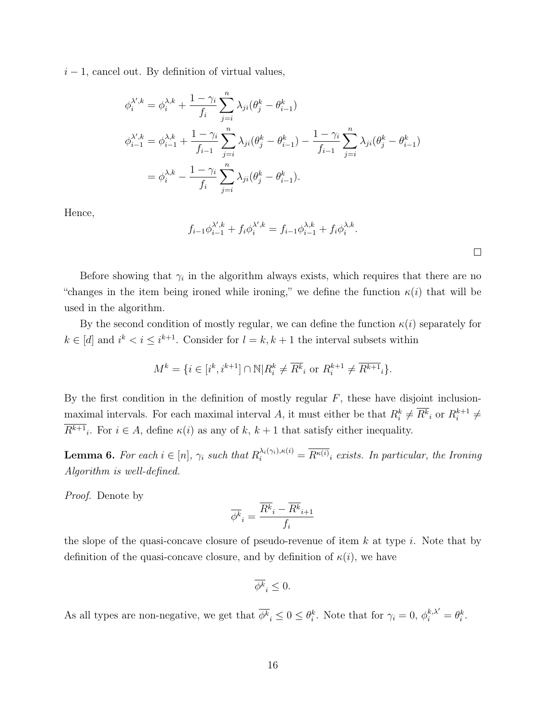$i-1$ , cancel out. By definition of virtual values,

$$
\phi_i^{\lambda',k} = \phi_i^{\lambda,k} + \frac{1 - \gamma_i}{f_i} \sum_{j=i}^n \lambda_{ji} (\theta_j^k - \theta_{i-1}^k)
$$
  

$$
\phi_{i-1}^{\lambda',k} = \phi_{i-1}^{\lambda,k} + \frac{1 - \gamma_i}{f_{i-1}} \sum_{j=i}^n \lambda_{ji} (\theta_j^k - \theta_{i-1}^k) - \frac{1 - \gamma_i}{f_{i-1}} \sum_{j=i}^n \lambda_{ji} (\theta_j^k - \theta_{i-1}^k)
$$
  

$$
= \phi_i^{\lambda,k} - \frac{1 - \gamma_i}{f_i} \sum_{j=i}^n \lambda_{ji} (\theta_j^k - \theta_{i-1}^k).
$$

Hence,

$$
f_{i-1}\phi_{i-1}^{\lambda',k} + f_i\phi_i^{\lambda',k} = f_{i-1}\phi_{i-1}^{\lambda,k} + f_i\phi_i^{\lambda,k}.
$$

Before showing that  $\gamma_i$  in the algorithm always exists, which requires that there are no "changes in the item being ironed while ironing," we define the function  $\kappa(i)$  that will be used in the algorithm.

By the second condition of mostly regular, we can define the function  $\kappa(i)$  separately for  $k \in [d]$  and  $i^k < i \leq i^{k+1}$ . Consider for  $l = k, k+1$  the interval subsets within

$$
M^k=\{i\in[i^k,i^{k+1}]\cap\mathbb{N}|R_i^k\neq \overline{R^k}_i\text{ or }R_i^{k+1}\neq \overline{R^{k+1}}_i\}.
$$

By the first condition in the definition of mostly regular  $F$ , these have disjoint inclusionmaximal intervals. For each maximal interval A, it must either be that  $R_i^k \neq \overline{R_i^k}$  or  $R_i^{k+1}$  $i^{k+1} \neq$  $R^{k+1}$ . For  $i \in A$ , define  $\kappa(i)$  as any of k,  $k+1$  that satisfy either inequality.

<span id="page-16-0"></span>**Lemma 6.** For each  $i \in [n]$ ,  $\gamma_i$  such that  $R_i^{\lambda_i(\gamma_i), \kappa(i)} = \overline{R^{\kappa(i)}}_i$  exists. In particular, the Ironing Algorithm is well-defined.

Proof. Denote by

$$
\overline{\phi^k}_i = \frac{\overline{R^k}_i - \overline{R^k}_{i+1}}{f_i}
$$

the slope of the quasi-concave closure of pseudo-revenue of item  $k$  at type  $i$ . Note that by definition of the quasi-concave closure, and by definition of  $\kappa(i)$ , we have

$$
\overline{\phi^k}_i \le 0.
$$

As all types are non-negative, we get that  $\overline{\phi^k}_i \leq 0 \leq \theta_i^k$ . Note that for  $\gamma_i = 0$ ,  $\phi_i^{k,\lambda'} = \theta_i^k$ .

 $\Box$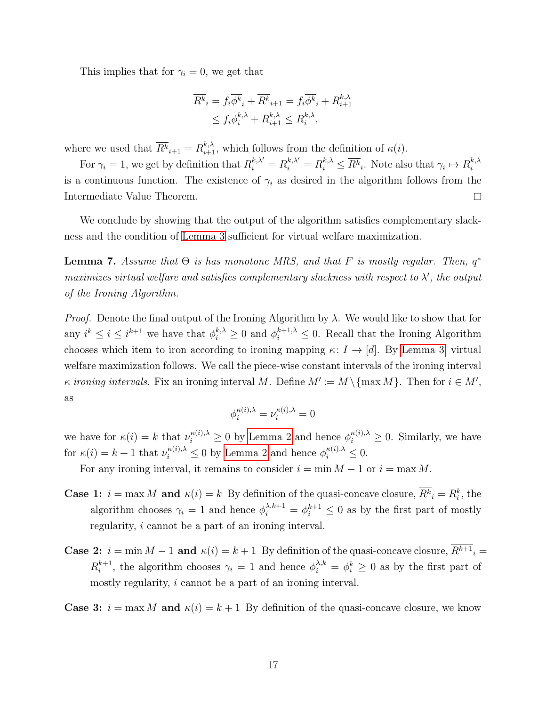This implies that for  $\gamma_i = 0$ , we get that

$$
\overline{R^k}_i = f_i \overline{\phi^k}_i + \overline{R^k}_{i+1} = f_i \overline{\phi^k}_i + R_{i+1}^{k,\lambda}
$$
  

$$
\leq f_i \phi_i^{k,\lambda} + R_{i+1}^{k,\lambda} \leq R_i^{k,\lambda},
$$

where we used that  $\overline{R^k}_{i+1} = R^{k,\lambda}_{i+1}$ , which follows from the definition of  $\kappa(i)$ .

For  $\gamma_i = 1$ , we get by definition that  $R_i^{k,\lambda'} = R_i^{k,\lambda} \leq \overline{R_i^{k}}$ . Note also that  $\gamma_i \mapsto R_i^{k,\lambda}$ i is a continuous function. The existence of  $\gamma_i$  as desired in the algorithm follows from the Intermediate Value Theorem.  $\Box$ 

We conclude by showing that the output of the algorithm satisfies complementary slackness and the condition of [Lemma 3](#page-13-0) sufficient for virtual welfare maximization.

<span id="page-17-0"></span>**Lemma 7.** Assume that  $\Theta$  is has monotone MRS, and that F is mostly regular. Then,  $q^*$ maximizes virtual welfare and satisfies complementary slackness with respect to  $\lambda'$ , the output of the Ironing Algorithm.

*Proof.* Denote the final output of the Ironing Algorithm by  $\lambda$ . We would like to show that for any  $i^k \leq i \leq i^{k+1}$  we have that  $\phi_i^{k,\lambda} \geq 0$  and  $\phi_i^{k+1,\lambda} \leq 0$ . Recall that the Ironing Algorithm chooses which item to iron according to ironing mapping  $\kappa: I \to [d]$ . By [Lemma 3,](#page-13-0) virtual welfare maximization follows. We call the piece-wise constant intervals of the ironing interval *κ* ironing intervals. Fix an ironing interval M. Define  $M' := M \setminus \{\max M\}$ . Then for  $i \in M'$ , as

$$
\phi^{\kappa(i),\lambda}_i=\nu^{\kappa(i),\lambda}_i=0
$$

we have for  $\kappa(i) = k$  that  $\nu_i^{\kappa(i),\lambda} \geq 0$  by [Lemma 2](#page-13-3) and hence  $\phi_i^{\kappa(i),\lambda} \geq 0$ . Similarly, we have for  $\kappa(i) = k + 1$  that  $\nu_i^{\kappa(i),\lambda} \leq 0$  by [Lemma 2](#page-13-3) and hence  $\phi_i^{\kappa(i),\lambda} \leq 0$ .

For any ironing interval, it remains to consider  $i = \min M - 1$  or  $i = \max M$ .

- **Case 1:**  $i = \max M$  and  $\kappa(i) = k$  By definition of the quasi-concave closure,  $\overline{R^k}_i = R^k_i$ , the algorithm chooses  $\gamma_i = 1$  and hence  $\phi_i^{\lambda, k+1} = \phi_i^{k+1} \leq 0$  as by the first part of mostly regularity, i cannot be a part of an ironing interval.
- **Case 2:**  $i = \min M 1$  and  $\kappa(i) = k + 1$  By definition of the quasi-concave closure,  $\overline{R^{k+1}}_i =$  $R_i^{k+1}$  $i^{k+1}$ , the algorithm chooses  $\gamma_i = 1$  and hence  $\phi_i^{\lambda, k} = \phi_i^k \geq 0$  as by the first part of mostly regularity, i cannot be a part of an ironing interval.

**Case 3:**  $i = \max M$  and  $\kappa(i) = k + 1$  By definition of the quasi-concave closure, we know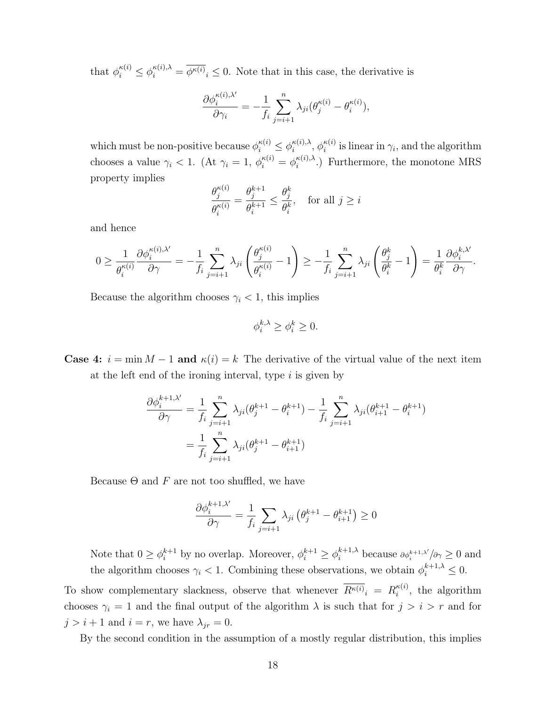that  $\phi_i^{\kappa(i)} \leq \phi_i^{\kappa(i),\lambda} = \overline{\phi^{\kappa(i)}}_i \leq 0$ . Note that in this case, the derivative is

$$
\frac{\partial \phi_i^{\kappa(i),\lambda'}}{\partial \gamma_i} = -\frac{1}{f_i} \sum_{j=i+1}^n \lambda_{ji} (\theta_j^{\kappa(i)} - \theta_i^{\kappa(i)}),
$$

which must be non-positive because  $\phi_i^{\kappa(i)} \leq \phi_i^{\kappa(i),\lambda}$  $_{i}^{\kappa(i),\lambda},\,\phi_{i}^{\kappa(i)}$  $i^{k(i)}$  is linear in  $\gamma_i$ , and the algorithm chooses a value  $\gamma_i < 1$ . (At  $\gamma_i = 1$ ,  $\phi_i^{\kappa(i)} = \phi_i^{\kappa(i),\lambda}$  $i^{k(i),\lambda}$ .) Furthermore, the monotone MRS property implies

$$
\frac{\theta_j^{\kappa(i)}}{\theta_i^{\kappa(i)}} = \frac{\theta_j^{k+1}}{\theta_i^{k+1}} \le \frac{\theta_j^k}{\theta_i^k}, \quad \text{for all } j \ge i
$$

and hence

$$
0 \geq \frac{1}{\theta_i^{\kappa(i)}} \frac{\partial \phi_i^{\kappa(i),\lambda'}}{\partial \gamma} = -\frac{1}{f_i} \sum_{j=i+1}^n \lambda_{ji} \left( \frac{\theta_j^{\kappa(i)}}{\theta_i^{\kappa(i)}} - 1 \right) \geq -\frac{1}{f_i} \sum_{j=i+1}^n \lambda_{ji} \left( \frac{\theta_j^k}{\theta_i^k} - 1 \right) = \frac{1}{\theta_i^k} \frac{\partial \phi_i^{k,\lambda'}}{\partial \gamma}.
$$

Because the algorithm chooses  $\gamma_i < 1$ , this implies

$$
\phi_i^{k,\lambda} \ge \phi_i^k \ge 0.
$$

**Case 4:**  $i = \min M - 1$  and  $\kappa(i) = k$  The derivative of the virtual value of the next item at the left end of the ironing interval, type  $i$  is given by

$$
\frac{\partial \phi_i^{k+1,\lambda'}}{\partial \gamma} = \frac{1}{f_i} \sum_{j=i+1}^n \lambda_{ji} (\theta_j^{k+1} - \theta_i^{k+1}) - \frac{1}{f_i} \sum_{j=i+1}^n \lambda_{ji} (\theta_{i+1}^{k+1} - \theta_i^{k+1})
$$

$$
= \frac{1}{f_i} \sum_{j=i+1}^n \lambda_{ji} (\theta_j^{k+1} - \theta_{i+1}^{k+1})
$$

Because  $\Theta$  and F are not too shuffled, we have

$$
\frac{\partial \phi_i^{k+1,\lambda'}}{\partial \gamma} = \frac{1}{f_i} \sum_{j=i+1} \lambda_{ji} \left( \theta_j^{k+1} - \theta_{i+1}^{k+1} \right) \ge 0
$$

Note that  $0 \ge \phi_i^{k+1}$  by no overlap. Moreover,  $\phi_i^{k+1} \ge \phi_i^{k+1,\lambda}$  because  $\partial \phi_i^{k+1,\lambda'}/\partial \gamma \ge 0$  and the algorithm chooses  $\gamma_i < 1$ . Combining these observations, we obtain  $\phi_i^{k+1,\lambda} \leq 0$ .

To show complementary slackness, observe that whenever  $\overline{R^{\kappa(i)}}_i = R_i^{\kappa(i)}$  $i^{k(i)}$ , the algorithm chooses  $\gamma_i = 1$  and the final output of the algorithm  $\lambda$  is such that for  $j > i > r$  and for  $j > i + 1$  and  $i = r$ , we have  $\lambda_{jr} = 0$ .

By the second condition in the assumption of a mostly regular distribution, this implies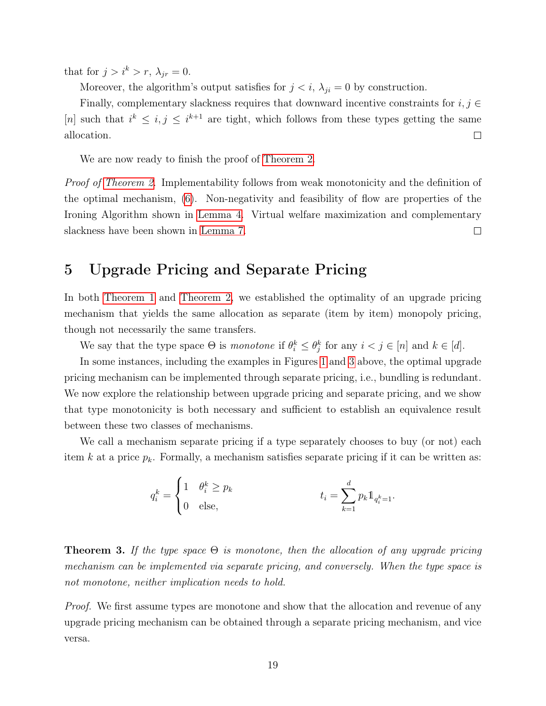that for  $j > i^k > r$ ,  $\lambda_{jr} = 0$ .

Moreover, the algorithm's output satisfies for  $j < i$ ,  $\lambda_{ji} = 0$  by construction.

Finally, complementary slackness requires that downward incentive constraints for  $i, j \in$ [n] such that  $i^k \leq i, j \leq i^{k+1}$  are tight, which follows from these types getting the same allocation.  $\Box$ 

We are now ready to finish the proof of [Theorem 2.](#page-12-0)

Proof of [Theorem 2.](#page-12-0) Implementability follows from weak monotonicity and the definition of the optimal mechanism, [\(6\)](#page-12-2). Non-negativity and feasibility of flow are properties of the Ironing Algorithm shown in [Lemma 4.](#page-15-0) Virtual welfare maximization and complementary slackness have been shown in [Lemma 7.](#page-17-0)  $\Box$ 

# <span id="page-19-1"></span>5 Upgrade Pricing and Separate Pricing

In both [Theorem 1](#page-9-0) and [Theorem 2,](#page-12-0) we established the optimality of an upgrade pricing mechanism that yields the same allocation as separate (item by item) monopoly pricing, though not necessarily the same transfers.

We say that the type space  $\Theta$  is monotone if  $\theta_i^k \leq \theta_j^k$  for any  $i < j \in [n]$  and  $k \in [d]$ .

In some instances, including the examples in Figures [1](#page-9-1) and [3](#page-11-0) above, the optimal upgrade pricing mechanism can be implemented through separate pricing, i.e., bundling is redundant. We now explore the relationship between upgrade pricing and separate pricing, and we show that type monotonicity is both necessary and sufficient to establish an equivalence result between these two classes of mechanisms.

We call a mechanism separate pricing if a type separately chooses to buy (or not) each item k at a price  $p_k$ . Formally, a mechanism satisfies separate pricing if it can be written as:

$$
q_i^k = \begin{cases} 1 & \theta_i^k \geq p_k \\ 0 & \text{else,} \end{cases} \qquad t_i = \sum_{k=1}^d p_k 1\!\!1_{q_i^k = 1}.
$$

<span id="page-19-0"></span>**Theorem 3.** If the type space  $\Theta$  is monotone, then the allocation of any upgrade pricing mechanism can be implemented via separate pricing, and conversely. When the type space is not monotone, neither implication needs to hold.

Proof. We first assume types are monotone and show that the allocation and revenue of any upgrade pricing mechanism can be obtained through a separate pricing mechanism, and vice versa.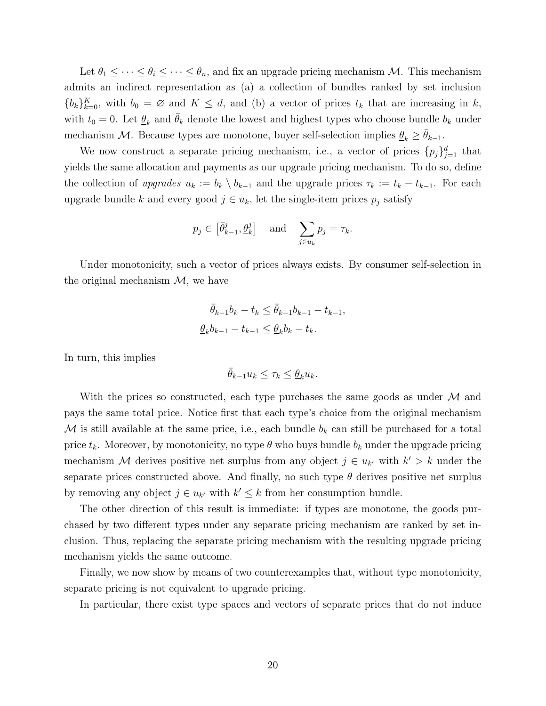Let  $\theta_1 \leq \cdots \leq \theta_i \leq \cdots \leq \theta_n$ , and fix an upgrade pricing mechanism M. This mechanism admits an indirect representation as (a) a collection of bundles ranked by set inclusion  ${b_k}_{k=0}^K$ , with  $b_0 = \emptyset$  and  $K \leq d$ , and (b) a vector of prices  $t_k$  that are increasing in k, with  $t_0 = 0$ . Let  $\underline{\theta}_k$  and  $\overline{\theta}_k$  denote the lowest and highest types who choose bundle  $b_k$  under mechanism M. Because types are monotone, buyer self-selection implies  $\theta_k \geq \theta_{k-1}$ .

We now construct a separate pricing mechanism, i.e., a vector of prices  $\{p_j\}_{j=1}^d$  that yields the same allocation and payments as our upgrade pricing mechanism. To do so, define the collection of upgrades  $u_k := b_k \setminus b_{k-1}$  and the upgrade prices  $\tau_k := t_k - t_{k-1}$ . For each upgrade bundle k and every good  $j \in u_k$ , let the single-item prices  $p_j$  satisfy

$$
p_j \in \left[\bar{\theta}_{k-1}^j, \underline{\theta}_k^j\right]
$$
 and  $\sum_{j \in u_k} p_j = \tau_k$ .

Under monotonicity, such a vector of prices always exists. By consumer self-selection in the original mechanism  $\mathcal{M}$ , we have

$$
\bar{\theta}_{k-1}b_k - t_k \le \bar{\theta}_{k-1}b_{k-1} - t_{k-1},
$$
  

$$
\underline{\theta}_k b_{k-1} - t_{k-1} \le \underline{\theta}_k b_k - t_k.
$$

In turn, this implies

$$
\bar{\theta}_{k-1}u_k \leq \tau_k \leq \underline{\theta}_k u_k.
$$

With the prices so constructed, each type purchases the same goods as under  $\mathcal M$  and pays the same total price. Notice first that each type's choice from the original mechanism M is still available at the same price, i.e., each bundle  $b_k$  can still be purchased for a total price  $t_k$ . Moreover, by monotonicity, no type  $\theta$  who buys bundle  $b_k$  under the upgrade pricing mechanism M derives positive net surplus from any object  $j \in u_{k'}$  with  $k' > k$  under the separate prices constructed above. And finally, no such type  $\theta$  derives positive net surplus by removing any object  $j \in u_{k'}$  with  $k' \leq k$  from her consumption bundle.

The other direction of this result is immediate: if types are monotone, the goods purchased by two different types under any separate pricing mechanism are ranked by set inclusion. Thus, replacing the separate pricing mechanism with the resulting upgrade pricing mechanism yields the same outcome.

Finally, we now show by means of two counterexamples that, without type monotonicity, separate pricing is not equivalent to upgrade pricing.

In particular, there exist type spaces and vectors of separate prices that do not induce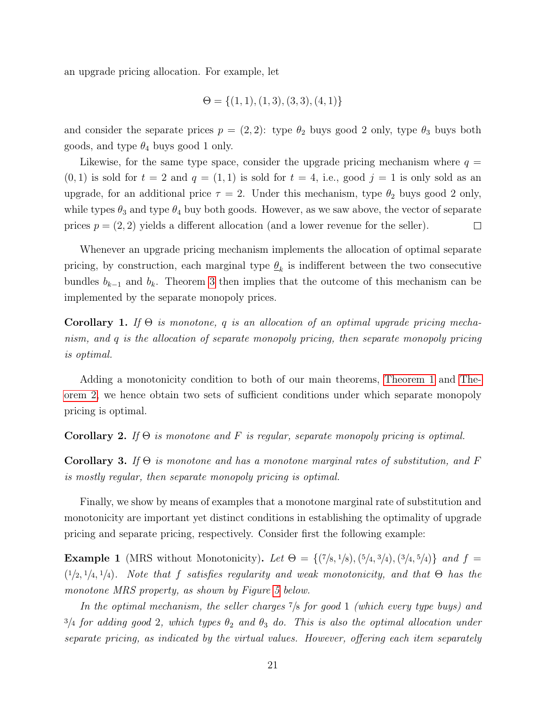an upgrade pricing allocation. For example, let

$$
\Theta = \{(1, 1), (1, 3), (3, 3), (4, 1)\}
$$

and consider the separate prices  $p = (2, 2)$ : type  $\theta_2$  buys good 2 only, type  $\theta_3$  buys both goods, and type  $\theta_4$  buys good 1 only.

Likewise, for the same type space, consider the upgrade pricing mechanism where  $q =$  $(0, 1)$  is sold for  $t = 2$  and  $q = (1, 1)$  is sold for  $t = 4$ , i.e., good  $j = 1$  is only sold as an upgrade, for an additional price  $\tau = 2$ . Under this mechanism, type  $\theta_2$  buys good 2 only, while types  $\theta_3$  and type  $\theta_4$  buy both goods. However, as we saw above, the vector of separate prices  $p = (2, 2)$  yields a different allocation (and a lower revenue for the seller).  $\Box$ 

Whenever an upgrade pricing mechanism implements the allocation of optimal separate pricing, by construction, each marginal type  $\underline{\theta}_k$  is indifferent between the two consecutive bundles  $b_{k-1}$  and  $b_k$ . Theorem [3](#page-19-0) then implies that the outcome of this mechanism can be implemented by the separate monopoly prices.

Corollary 1. If  $\Theta$  is monotone, q is an allocation of an optimal upgrade pricing mechanism, and q is the allocation of separate monopoly pricing, then separate monopoly pricing is optimal.

Adding a monotonicity condition to both of our main theorems, [Theorem 1](#page-9-0) and [The](#page-12-0)[orem 2,](#page-12-0) we hence obtain two sets of sufficient conditions under which separate monopoly pricing is optimal.

#### Corollary 2. If  $\Theta$  is monotone and F is regular, separate monopoly pricing is optimal.

**Corollary 3.** If  $\Theta$  is monotone and has a monotone marginal rates of substitution, and F is mostly regular, then separate monopoly pricing is optimal.

Finally, we show by means of examples that a monotone marginal rate of substitution and monotonicity are important yet distinct conditions in establishing the optimality of upgrade pricing and separate pricing, respectively. Consider first the following example:

**Example 1** (MRS without Monotonicity). Let  $\Theta = \{ (7/8, 1/8), (5/4, 3/4), (3/4, 5/4) \}$  and  $f =$  $(1/2, 1/4, 1/4)$ . Note that f satisfies regularity and weak monotonicity, and that  $\Theta$  has the monotone MRS property, as shown by Figure [5](#page-22-0) below.

In the optimal mechanism, the seller charges  $\frac{7}{8}$  for good 1 (which every type buys) and  $3/4$  for adding good 2, which types  $\theta_2$  and  $\theta_3$  do. This is also the optimal allocation under separate pricing, as indicated by the virtual values. However, offering each item separately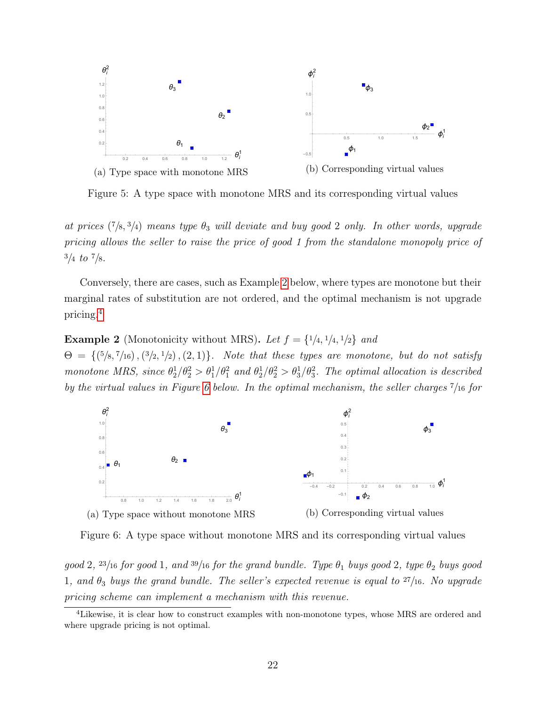<span id="page-22-0"></span>

Figure 5: A type space with monotone MRS and its corresponding virtual values

at prices  $(7/8, 3/4)$  means type  $\theta_3$  will deviate and buy good 2 only. In other words, upgrade pricing allows the seller to raise the price of good 1 from the standalone monopoly price of  $3/4$  to  $7/8$ .

Conversely, there are cases, such as Example [2](#page-22-1) below, where types are monotone but their marginal rates of substitution are not ordered, and the optimal mechanism is not upgrade pricing.[4](#page-22-2)

<span id="page-22-1"></span>**Example 2** (Monotonicity without MRS). Let  $f = \{1/4, 1/4, 1/2\}$  and

 $\Theta = \{({}^5/8, {}^7/16),({}^3/2,{}^1/2),({}^2,1)\}.$  Note that these types are monotone, but do not satisfy monotone MRS, since  $\theta_2^1/\theta_2^2 > \theta_1^1/\theta_1^2$  and  $\theta_2^1/\theta_2^2 > \theta_3^1/\theta_3^2$ . The optimal allocation is described by the virtual values in Figure [6](#page-22-3) below. In the optimal mechanism, the seller charges <sup>7</sup>/<sup>16</sup> for

<span id="page-22-3"></span>

Figure 6: A type space without monotone MRS and its corresponding virtual values

good 2,  $^{23}/$ 16 for good 1, and  $^{39}/$ 16 for the grand bundle. Type  $\theta_1$  buys good 2, type  $\theta_2$  buys good 1, and  $\theta_3$  buys the grand bundle. The seller's expected revenue is equal to  $27/16$ . No upgrade pricing scheme can implement a mechanism with this revenue.

<span id="page-22-2"></span><sup>&</sup>lt;sup>4</sup>Likewise, it is clear how to construct examples with non-monotone types, whose MRS are ordered and where upgrade pricing is not optimal.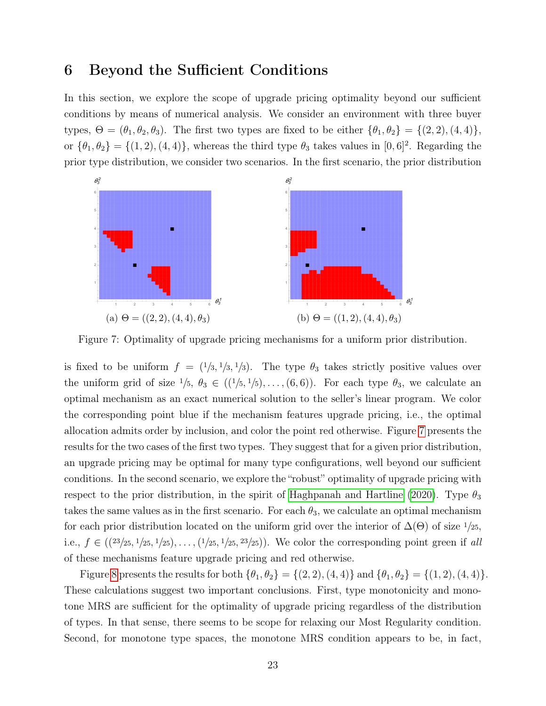### <span id="page-23-0"></span>6 Beyond the Sufficient Conditions

In this section, we explore the scope of upgrade pricing optimality beyond our sufficient conditions by means of numerical analysis. We consider an environment with three buyer types,  $\Theta = (\theta_1, \theta_2, \theta_3)$ . The first two types are fixed to be either  $\{\theta_1, \theta_2\} = \{(2, 2), (4, 4)\},$ or  $\{\theta_1, \theta_2\} = \{(1, 2), (4, 4)\}\$ , whereas the third type  $\theta_3$  takes values in  $[0, 6]^2$ . Regarding the prior type distribution, we consider two scenarios. In the first scenario, the prior distribution

<span id="page-23-1"></span>

Figure 7: Optimality of upgrade pricing mechanisms for a uniform prior distribution.

is fixed to be uniform  $f = (1/3, 1/3, 1/3)$ . The type  $\theta_3$  takes strictly positive values over the uniform grid of size  $1/5$ ,  $\theta_3 \in ((1/5, 1/5), \ldots, (6, 6))$ . For each type  $\theta_3$ , we calculate an optimal mechanism as an exact numerical solution to the seller's linear program. We color the corresponding point blue if the mechanism features upgrade pricing, i.e., the optimal allocation admits order by inclusion, and color the point red otherwise. Figure [7](#page-23-1) presents the results for the two cases of the first two types. They suggest that for a given prior distribution, an upgrade pricing may be optimal for many type configurations, well beyond our sufficient conditions. In the second scenario, we explore the "robust" optimality of upgrade pricing with respect to the prior distribution, in the spirit of [Haghpanah and Hartline](#page-26-1) [\(2020\)](#page-26-1). Type  $\theta_3$ takes the same values as in the first scenario. For each  $\theta_3$ , we calculate an optimal mechanism for each prior distribution located on the uniform grid over the interior of  $\Delta(\Theta)$  of size  $1/25$ , i.e.,  $f \in ((23/25, 1/25, 1/25), \ldots, (1/25, 1/25, 23/25))$ . We color the corresponding point green if all of these mechanisms feature upgrade pricing and red otherwise.

Figure [8](#page-24-1) presents the results for both  $\{\theta_1, \theta_2\} = \{(2, 2), (4, 4)\}$  and  $\{\theta_1, \theta_2\} = \{(1, 2), (4, 4)\}.$ These calculations suggest two important conclusions. First, type monotonicity and monotone MRS are sufficient for the optimality of upgrade pricing regardless of the distribution of types. In that sense, there seems to be scope for relaxing our Most Regularity condition. Second, for monotone type spaces, the monotone MRS condition appears to be, in fact,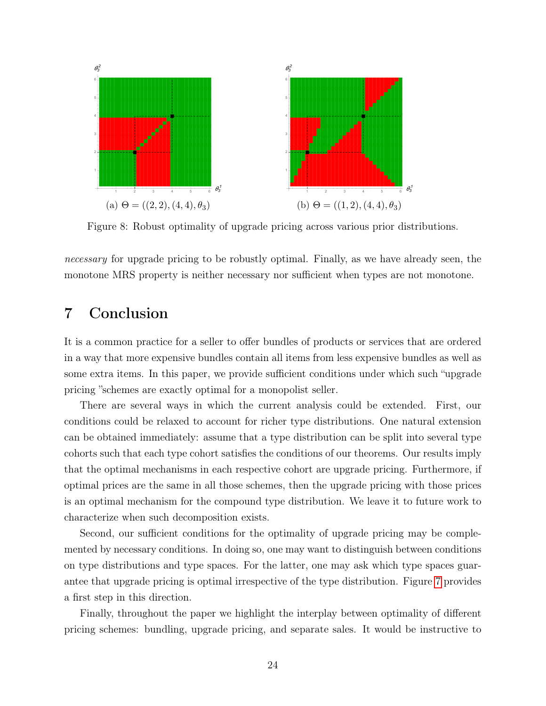<span id="page-24-1"></span>

Figure 8: Robust optimality of upgrade pricing across various prior distributions.

necessary for upgrade pricing to be robustly optimal. Finally, as we have already seen, the monotone MRS property is neither necessary nor sufficient when types are not monotone.

# <span id="page-24-0"></span>7 Conclusion

It is a common practice for a seller to offer bundles of products or services that are ordered in a way that more expensive bundles contain all items from less expensive bundles as well as some extra items. In this paper, we provide sufficient conditions under which such "upgrade pricing "schemes are exactly optimal for a monopolist seller.

There are several ways in which the current analysis could be extended. First, our conditions could be relaxed to account for richer type distributions. One natural extension can be obtained immediately: assume that a type distribution can be split into several type cohorts such that each type cohort satisfies the conditions of our theorems. Our results imply that the optimal mechanisms in each respective cohort are upgrade pricing. Furthermore, if optimal prices are the same in all those schemes, then the upgrade pricing with those prices is an optimal mechanism for the compound type distribution. We leave it to future work to characterize when such decomposition exists.

Second, our sufficient conditions for the optimality of upgrade pricing may be complemented by necessary conditions. In doing so, one may want to distinguish between conditions on type distributions and type spaces. For the latter, one may ask which type spaces guarantee that upgrade pricing is optimal irrespective of the type distribution. Figure [7](#page-23-1) provides a first step in this direction.

Finally, throughout the paper we highlight the interplay between optimality of different pricing schemes: bundling, upgrade pricing, and separate sales. It would be instructive to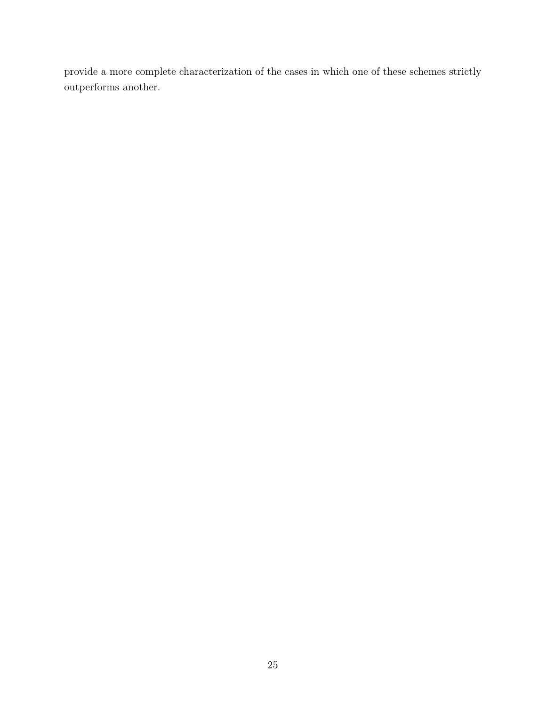provide a more complete characterization of the cases in which one of these schemes strictly outperforms another.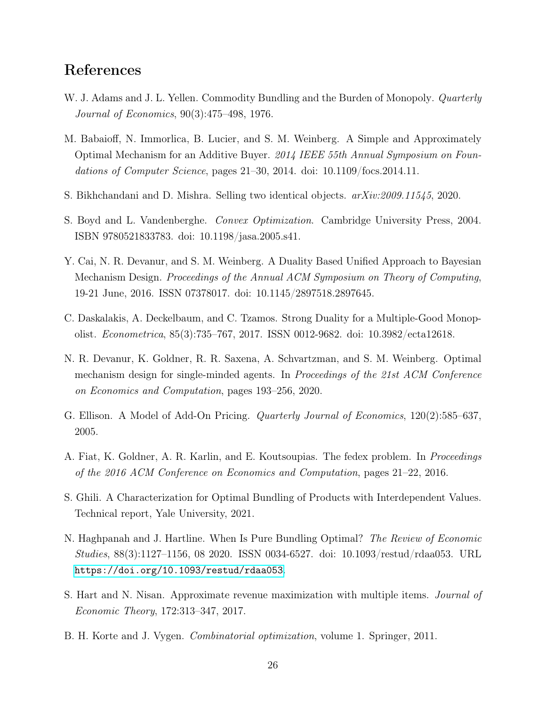# References

- <span id="page-26-2"></span>W. J. Adams and J. L. Yellen. Commodity Bundling and the Burden of Monopoly. *Quarterly* Journal of Economics, 90(3):475–498, 1976.
- <span id="page-26-7"></span>M. Babaioff, N. Immorlica, B. Lucier, and S. M. Weinberg. A Simple and Approximately Optimal Mechanism for an Additive Buyer. 2014 IEEE 55th Annual Symposium on Foundations of Computer Science, pages 21–30, 2014. doi: 10.1109/focs.2014.11.
- <span id="page-26-4"></span>S. Bikhchandani and D. Mishra. Selling two identical objects. arXiv:2009.11545, 2020.
- <span id="page-26-11"></span>S. Boyd and L. Vandenberghe. Convex Optimization. Cambridge University Press, 2004. ISBN 9780521833783. doi: 10.1198/jasa.2005.s41.
- <span id="page-26-8"></span>Y. Cai, N. R. Devanur, and S. M. Weinberg. A Duality Based Unified Approach to Bayesian Mechanism Design. Proceedings of the Annual ACM Symposium on Theory of Computing, 19-21 June, 2016. ISSN 07378017. doi: 10.1145/2897518.2897645.
- <span id="page-26-3"></span>C. Daskalakis, A. Deckelbaum, and C. Tzamos. Strong Duality for a Multiple-Good Monopolist. Econometrica, 85(3):735–767, 2017. ISSN 0012-9682. doi: 10.3982/ecta12618.
- <span id="page-26-10"></span>N. R. Devanur, K. Goldner, R. R. Saxena, A. Schvartzman, and S. M. Weinberg. Optimal mechanism design for single-minded agents. In Proceedings of the 21st ACM Conference on Economics and Computation, pages 193–256, 2020.
- <span id="page-26-0"></span>G. Ellison. A Model of Add-On Pricing. Quarterly Journal of Economics, 120(2):585–637, 2005.
- <span id="page-26-9"></span>A. Fiat, K. Goldner, A. R. Karlin, and E. Koutsoupias. The fedex problem. In *Proceedings* of the 2016 ACM Conference on Economics and Computation, pages 21–22, 2016.
- <span id="page-26-5"></span>S. Ghili. A Characterization for Optimal Bundling of Products with Interdependent Values. Technical report, Yale University, 2021.
- <span id="page-26-1"></span>N. Haghpanah and J. Hartline. When Is Pure Bundling Optimal? The Review of Economic Studies, 88(3):1127–1156, 08 2020. ISSN 0034-6527. doi: 10.1093/restud/rdaa053. URL <https://doi.org/10.1093/restud/rdaa053>.
- <span id="page-26-6"></span>S. Hart and N. Nisan. Approximate revenue maximization with multiple items. Journal of Economic Theory, 172:313–347, 2017.
- <span id="page-26-12"></span>B. H. Korte and J. Vygen. Combinatorial optimization, volume 1. Springer, 2011.